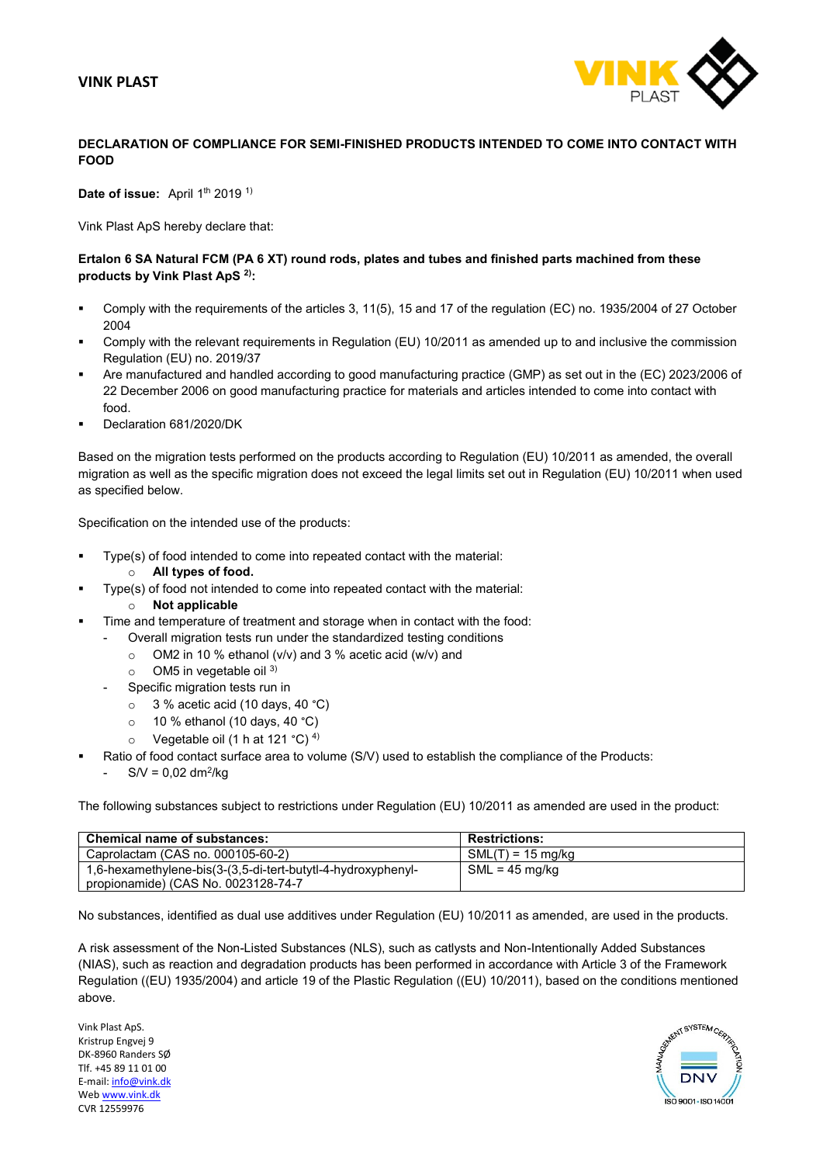# **VINK PLAST**



# **DECLARATION OF COMPLIANCE FOR SEMI-FINISHED PRODUCTS INTENDED TO COME INTO CONTACT WITH FOOD**

Date of issue: April 1<sup>th</sup> 2019<sup>1)</sup>

Vink Plast ApS hereby declare that:

### **Ertalon 6 SA Natural FCM (PA 6 XT) round rods, plates and tubes and finished parts machined from these products by Vink Plast ApS 2) :**

- Comply with the requirements of the articles 3, 11(5), 15 and 17 of the regulation (EC) no. 1935/2004 of 27 October 2004
- Comply with the relevant requirements in Regulation (EU) 10/2011 as amended up to and inclusive the commission Regulation (EU) no. 2019/37
- Are manufactured and handled according to good manufacturing practice (GMP) as set out in the (EC) 2023/2006 of 22 December 2006 on good manufacturing practice for materials and articles intended to come into contact with food.
- Declaration 681/2020/DK

Based on the migration tests performed on the products according to Regulation (EU) 10/2011 as amended, the overall migration as well as the specific migration does not exceed the legal limits set out in Regulation (EU) 10/2011 when used as specified below.

Specification on the intended use of the products:

- Type(s) of food intended to come into repeated contact with the material:
	- o **All types of food.**
- Type(s) of food not intended to come into repeated contact with the material:
	- o **Not applicable**
- Time and temperature of treatment and storage when in contact with the food:
	- Overall migration tests run under the standardized testing conditions
		- $\circ$  OM2 in 10 % ethanol (v/v) and 3 % acetic acid (w/v) and
		- $\circ$  OM5 in vegetable oil 3)
	- Specific migration tests run in
		- $\circ$  3 % acetic acid (10 days, 40 °C)
		- $\circ$  10 % ethanol (10 days, 40 °C)
		- $\circ$  Vegetable oil (1 h at 121 °C)<sup>4)</sup>
- Ratio of food contact surface area to volume (S/V) used to establish the compliance of the Products:
	- $S/V = 0.02$  dm<sup>2</sup>/kg

The following substances subject to restrictions under Regulation (EU) 10/2011 as amended are used in the product:

| <b>Chemical name of substances:</b>                          | <b>Restrictions:</b> |
|--------------------------------------------------------------|----------------------|
| Caprolactam (CAS no. 000105-60-2)                            | $SML(T) = 15$ mg/kg  |
| 1,6-hexamethylene-bis(3-(3,5-di-tert-butytl-4-hydroxyphenyl- | $SML = 45$ mg/kg     |
| propionamide) (CAS No. 0023128-74-7                          |                      |

No substances, identified as dual use additives under Regulation (EU) 10/2011 as amended, are used in the products.

A risk assessment of the Non-Listed Substances (NLS), such as catlysts and Non-Intentionally Added Substances (NIAS), such as reaction and degradation products has been performed in accordance with Article 3 of the Framework Regulation ((EU) 1935/2004) and article 19 of the Plastic Regulation ((EU) 10/2011), based on the conditions mentioned above.

Vink Plast ApS. Kristrup Engvej 9 DK-8960 Randers SØ Tlf. +45 89 11 01 00 E-mail: info@vink.dk We[b www.vink.dk](http://www.vink.dk/) CVR 12559976